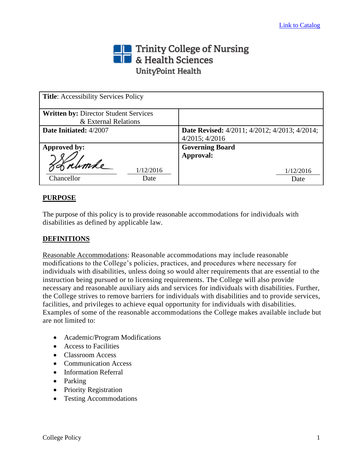# Trinity College of Nursing<br> **The State Sciences** UnityPoint Health

| <b>Title:</b> Accessibility Services Policy  |                                                      |
|----------------------------------------------|------------------------------------------------------|
| <b>Written by: Director Student Services</b> |                                                      |
| & External Relations                         |                                                      |
| Date Initiated: 4/2007                       | <b>Date Revised:</b> 4/2011; 4/2012; 4/2013; 4/2014; |
|                                              | $4/2015$ ; $4/2016$                                  |
| Approved by:                                 | <b>Governing Board</b>                               |
|                                              | Approval:                                            |
| 1/12/2016                                    | 1/12/2016                                            |
| Chancellor<br>Date                           | Date                                                 |

# **PURPOSE**

The purpose of this policy is to provide reasonable accommodations for individuals with disabilities as defined by applicable law.

## **DEFINITIONS**

Reasonable Accommodations: Reasonable accommodations may include reasonable modifications to the College's policies, practices, and procedures where necessary for individuals with disabilities, unless doing so would alter requirements that are essential to the instruction being pursued or to licensing requirements. The College will also provide necessary and reasonable auxiliary aids and services for individuals with disabilities. Further, the College strives to remove barriers for individuals with disabilities and to provide services, facilities, and privileges to achieve equal opportunity for individuals with disabilities. Examples of some of the reasonable accommodations the College makes available include but are not limited to:

- Academic/Program Modifications
- Access to Facilities
- Classroom Access
- Communication Access
- Information Referral
- Parking
- Priority Registration
- Testing Accommodations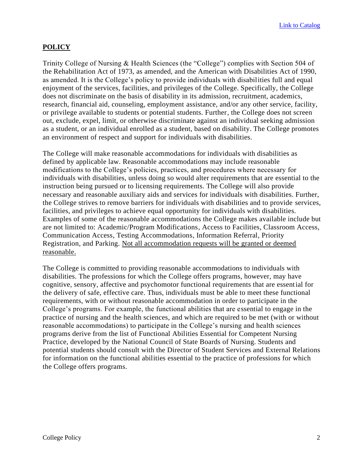## **POLICY**

Trinity College of Nursing & Health Sciences (the "College") complies with Section 504 of the Rehabilitation Act of 1973, as amended, and the American with Disabilities Act of 1990, as amended. It is the College's policy to provide individuals with disabilities full and equal enjoyment of the services, facilities, and privileges of the College. Specifically, the College does not discriminate on the basis of disability in its admission, recruitment, academics, research, financial aid, counseling, employment assistance, and/or any other service, facility, or privilege available to students or potential students. Further, the College does not screen out, exclude, expel, limit, or otherwise discriminate against an individual seeking admission as a student, or an individual enrolled as a student, based on disability. The College promotes an environment of respect and support for individuals with disabilities.

The College will make reasonable accommodations for individuals with disabilities as defined by applicable law. Reasonable accommodations may include reasonable modifications to the College's policies, practices, and procedures where necessary for individuals with disabilities, unless doing so would alter requirements that are essential to the instruction being pursued or to licensing requirements. The College will also provide necessary and reasonable auxiliary aids and services for individuals with disabilities. Further, the College strives to remove barriers for individuals with disabilities and to provide services, facilities, and privileges to achieve equal opportunity for individuals with disabilities. Examples of some of the reasonable accommodations the College makes available include but are not limited to: Academic/Program Modifications, Access to Facilities, Classroom Access, Communication Access, Testing Accommodations, Information Referral, Priority Registration, and Parking. Not all accommodation requests will be granted or deemed reasonable.

The College is committed to providing reasonable accommodations to individuals with disabilities. The professions for which the College offers programs, however, may have cognitive, sensory, affective and psychomotor functional requirements that are essential for the delivery of safe, effective care. Thus, individuals must be able to meet these functional requirements, with or without reasonable accommodation in order to participate in the College's programs. For example, the functional abilities that are essential to engage in the practice of nursing and the health sciences, and which are required to be met (with or without reasonable accommodations) to participate in the College's nursing and health sciences programs derive from the list of Functional Abilities Essential for Competent Nursing Practice, developed by the National Council of State Boards of Nursing. Students and potential students should consult with the Director of Student Services and External Relations for information on the functional abilities essential to the practice of professions for which the College offers programs.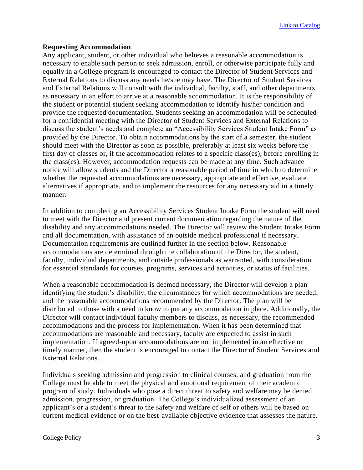### **Requesting Accommodation**

Any applicant, student, or other individual who believes a reasonable accommodation is necessary to enable such person to seek admission, enroll, or otherwise participate fully and equally in a College program is encouraged to contact the Director of Student Services and External Relations to discuss any needs he/she may have. The Director of Student Services and External Relations will consult with the individual, faculty, staff, and other departments as necessary in an effort to arrive at a reasonable accommodation. It is the responsibility of the student or potential student seeking accommodation to identify his/her condition and provide the requested documentation. Students seeking an accommodation will be scheduled for a confidential meeting with the Director of Student Services and External Relations to discuss the student's needs and complete an "Accessibility Services Student Intake Form" as provided by the Director. To obtain accommodations by the start of a semester, the student should meet with the Director as soon as possible, preferably at least six weeks before the first day of classes or, if the accommodation relates to a specific class(es), before enrolling in the class(es). However, accommodation requests can be made at any time. Such advance notice will allow students and the Director a reasonable period of time in which to determine whether the requested accommodations are necessary, appropriate and effective, evaluate alternatives if appropriate, and to implement the resources for any necessary aid in a timely manner.

In addition to completing an Accessibility Services Student Intake Form the student will need to meet with the Director and present current documentation regarding the nature of the disability and any accommodations needed. The Director will review the Student Intake Form and all documentation, with assistance of an outside medical professional if necessary. Documentation requirements are outlined further in the section below. Reasonable accommodations are determined through the collaboration of the Director, the student, faculty, individual departments, and outside professionals as warranted, with consideration for essential standards for courses, programs, services and activities, or status of facilities.

When a reasonable accommodation is deemed necessary, the Director will develop a plan identifying the student's disability, the circumstances for which accommodations are needed, and the reasonable accommodations recommended by the Director. The plan will be distributed to those with a need to know to put any accommodation in place. Additionally, the Director will contact individual faculty members to discuss, as necessary, the recommended accommodations and the process for implementation. When it has been determined that accommodations are reasonable and necessary, faculty are expected to assist in such implementation. If agreed-upon accommodations are not implemented in an effective or timely manner, then the student is encouraged to contact the Director of Student Services and External Relations.

Individuals seeking admission and progression to clinical courses, and graduation from the College must be able to meet the physical and emotional requirement of their academic program of study. Individuals who pose a direct threat to safety and welfare may be denied admission, progression, or graduation. The College's individualized assessment of an applicant's or a student's threat to the safety and welfare of self or others will be based on current medical evidence or on the best-available objective evidence that assesses the nature,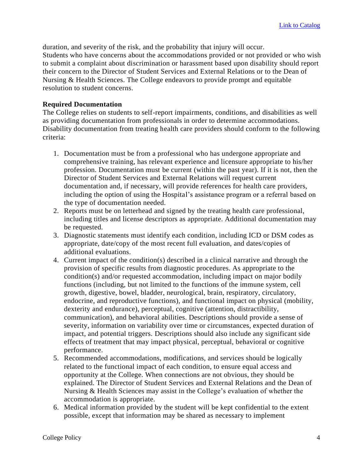duration, and severity of the risk, and the probability that injury will occur. Students who have concerns about the accommodations provided or not provided or who wish to submit a complaint about discrimination or harassment based upon disability should report their concern to the Director of Student Services and External Relations or to the Dean of Nursing & Health Sciences. The College endeavors to provide prompt and equitable resolution to student concerns.

## **Required Documentation**

The College relies on students to self-report impairments, conditions, and disabilities as well as providing documentation from professionals in order to determine accommodations. Disability documentation from treating health care providers should conform to the following criteria:

- 1. Documentation must be from a professional who has undergone appropriate and comprehensive training, has relevant experience and licensure appropriate to his/her profession. Documentation must be current (within the past year). If it is not, then the Director of Student Services and External Relations will request current documentation and, if necessary, will provide references for health care providers, including the option of using the Hospital's assistance program or a referral based on the type of documentation needed.
- 2. Reports must be on letterhead and signed by the treating health care professional, including titles and license descriptors as appropriate. Additional documentation may be requested.
- 3. Diagnostic statements must identify each condition, including ICD or DSM codes as appropriate, date/copy of the most recent full evaluation, and dates/copies of additional evaluations.
- 4. Current impact of the condition(s) described in a clinical narrative and through the provision of specific results from diagnostic procedures. As appropriate to the condition(s) and/or requested accommodation, including impact on major bodily functions (including, but not limited to the functions of the immune system, cell growth, digestive, bowel, bladder, neurological, brain, respiratory, circulatory, endocrine, and reproductive functions), and functional impact on physical (mobility, dexterity and endurance), perceptual, cognitive (attention, distractibility, communication), and behavioral abilities. Descriptions should provide a sense of severity, information on variability over time or circumstances, expected duration of impact, and potential triggers. Descriptions should also include any significant side effects of treatment that may impact physical, perceptual, behavioral or cognitive performance.
- 5. Recommended accommodations, modifications, and services should be logically related to the functional impact of each condition, to ensure equal access and opportunity at the College. When connections are not obvious, they should be explained. The Director of Student Services and External Relations and the Dean of Nursing & Health Sciences may assist in the College's evaluation of whether the accommodation is appropriate.
- 6. Medical information provided by the student will be kept confidential to the extent possible, except that information may be shared as necessary to implement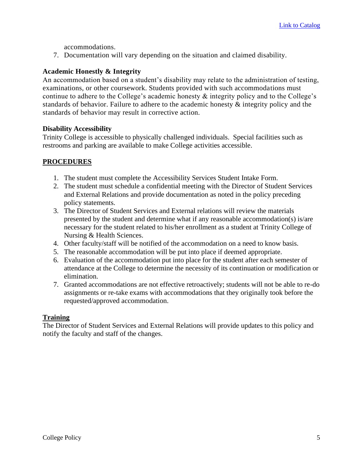accommodations.

7. Documentation will vary depending on the situation and claimed disability.

## **Academic Honestly & Integrity**

An accommodation based on a student's disability may relate to the administration of testing, examinations, or other coursework. Students provided with such accommodations must continue to adhere to the College's academic honesty & integrity policy and to the College's standards of behavior. Failure to adhere to the academic honesty & integrity policy and the standards of behavior may result in corrective action.

### **Disability Accessibility**

Trinity College is accessible to physically challenged individuals. Special facilities such as restrooms and parking are available to make College activities accessible.

# **PROCEDURES**

- 1. The student must complete the Accessibility Services Student Intake Form.
- 2. The student must schedule a confidential meeting with the Director of Student Services and External Relations and provide documentation as noted in the policy preceding policy statements.
- 3. The Director of Student Services and External relations will review the materials presented by the student and determine what if any reasonable accommodation(s) is/are necessary for the student related to his/her enrollment as a student at Trinity College of Nursing & Health Sciences.
- 4. Other faculty/staff will be notified of the accommodation on a need to know basis.
- 5. The reasonable accommodation will be put into place if deemed appropriate.
- 6. Evaluation of the accommodation put into place for the student after each semester of attendance at the College to determine the necessity of its continuation or modification or elimination.
- 7. Granted accommodations are not effective retroactively; students will not be able to re-do assignments or re-take exams with accommodations that they originally took before the requested/approved accommodation.

### **Training**

The Director of Student Services and External Relations will provide updates to this policy and notify the faculty and staff of the changes.